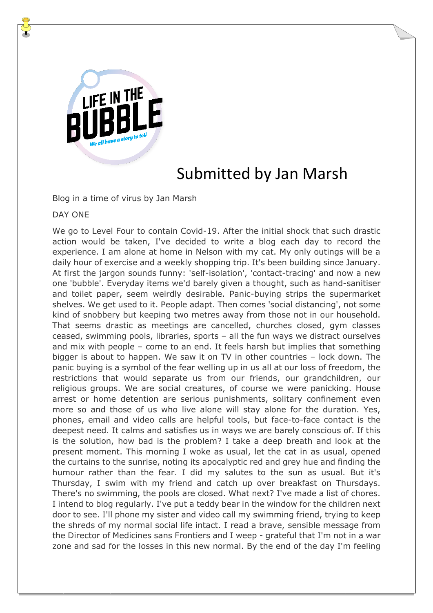

## Submitted by Jan Marsh

Blog in a time of virus by Jan Marsh

## DAY ONE

We go to Level Four to contain Covid-19. After the initial shock that such drastic action would be taken, I've decided to write a blog each day to record the experience. I am alone at home in Nelson with my cat. My only outings will be a daily hour of exercise and a weekly shopping trip. It's been building since January. At first the jargon sounds funny: 'self-isolation', 'contact-tracing' and now a new one 'bubble'. Everyday items we'd barely given a thought, such as hand-sanitiser and toilet paper, seem weirdly desirable. Panic-buying strips the supermarket shelves. We get used to it. People adapt. Then comes 'social distancing', not some kind of snobbery but keeping two metres away from those not in our household. That seems drastic as meetings are cancelled, churches closed, gym classes ceased, swimming pools, libraries, sports – all the fun ways we distract ourselves and mix with people – come to an end. It feels harsh but implies that something bigger is about to happen. We saw it on TV in other countries – lock down. The panic buying is a symbol of the fear welling up in us all at our loss of freedom, the restrictions that would separate us from our friends, our grandchildren, our religious groups. We are social creatures, of course we were panicking. House arrest or home detention are serious punishments, solitary confinement even more so and those of us who live alone will stay alone for the duration. Yes, phones, email and video calls are helpful tools, but face-to-face contact is the deepest need. It calms and satisfies us in ways we are barely conscious of. If this is the solution, how bad is the problem? I take a deep breath and look at the present moment. This morning I woke as usual, let the cat in as usual, opened the curtains to the sunrise, noting its apocalyptic red and grey hue and finding the humour rather than the fear. I did my salutes to the sun as usual. But it's Thursday, I swim with my friend and catch up over breakfast on Thursdays. There's no swimming, the pools are closed. What next? I've made a list of chores. I intend to blog regularly. I've put a teddy bear in the window for the children next door to see. I'll phone my sister and video call my swimming friend, trying to keep the shreds of my normal social life intact. I read a brave, sensible message from the Director of Medicines sans Frontiers and I weep - grateful that I'm not in a war zone and sad for the losses in this new normal. By the end of the day I'm feeling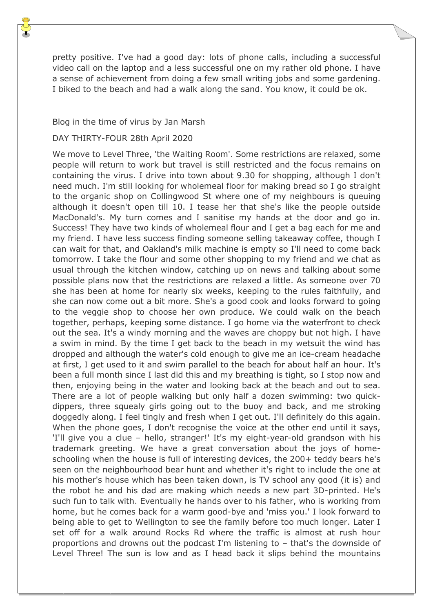pretty positive. I've had a good day: lots of phone calls, including a successful video call on the laptop and a less successful one on my rather old phone. I have a sense of achievement from doing a few small writing jobs and some gardening. I biked to the beach and had a walk along the sand. You know, it could be ok.

## Blog in the time of virus by Jan Marsh

## DAY THIRTY-FOUR 28th April 2020

We move to Level Three, 'the Waiting Room'. Some restrictions are relaxed, some people will return to work but travel is still restricted and the focus remains on containing the virus. I drive into town about 9.30 for shopping, although I don't need much. I'm still looking for wholemeal floor for making bread so I go straight to the organic shop on Collingwood St where one of my neighbours is queuing although it doesn't open till 10. I tease her that she's like the people outside MacDonald's. My turn comes and I sanitise my hands at the door and go in. Success! They have two kinds of wholemeal flour and I get a bag each for me and my friend. I have less success finding someone selling takeaway coffee, though I can wait for that, and Oakland's milk machine is empty so I'll need to come back tomorrow. I take the flour and some other shopping to my friend and we chat as usual through the kitchen window, catching up on news and talking about some possible plans now that the restrictions are relaxed a little. As someone over 70 she has been at home for nearly six weeks, keeping to the rules faithfully, and she can now come out a bit more. She's a good cook and looks forward to going to the veggie shop to choose her own produce. We could walk on the beach together, perhaps, keeping some distance. I go home via the waterfront to check out the sea. It's a windy morning and the waves are choppy but not high. I have a swim in mind. By the time I get back to the beach in my wetsuit the wind has dropped and although the water's cold enough to give me an ice-cream headache at first, I get used to it and swim parallel to the beach for about half an hour. It's been a full month since I last did this and my breathing is tight, so I stop now and then, enjoying being in the water and looking back at the beach and out to sea. There are a lot of people walking but only half a dozen swimming: two quickdippers, three squealy girls going out to the buoy and back, and me stroking doggedly along. I feel tingly and fresh when I get out. I'll definitely do this again. When the phone goes, I don't recognise the voice at the other end until it says, 'I'll give you a clue – hello, stranger!' It's my eight-year-old grandson with his trademark greeting. We have a great conversation about the joys of homeschooling when the house is full of interesting devices, the 200+ teddy bears he's seen on the neighbourhood bear hunt and whether it's right to include the one at his mother's house which has been taken down, is TV school any good (it is) and the robot he and his dad are making which needs a new part 3D-printed. He's such fun to talk with. Eventually he hands over to his father, who is working from home, but he comes back for a warm good-bye and 'miss you.' I look forward to being able to get to Wellington to see the family before too much longer. Later I set off for a walk around Rocks Rd where the traffic is almost at rush hour proportions and drowns out the podcast I'm listening to – that's the downside of Level Three! The sun is low and as I head back it slips behind the mountains